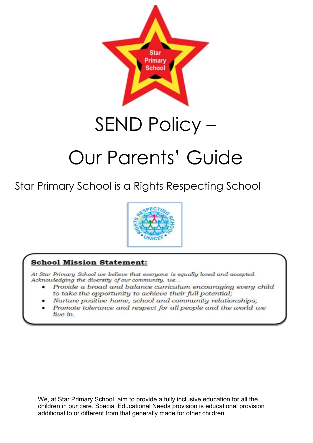

## SEND Policy –

# Our Parents' Guide

Star Primary School is a Rights Respecting School



## **School Mission Statement:**

At Star Primary School we believe that everyone is equally loved and accepted. Acknowledging the diversity of our community, we...

- Provide a broad and balance curriculum encouraging every child to take the opportunity to achieve their full potential;
- Nurture positive home, school and community relationships;
- Promote tolerance and respect for all people and the world we live in.

We, at Star Primary School, aim to provide a fully inclusive education for all the children in our care. Special Educational Needs provision is educational provision additional to or different from that generally made for other children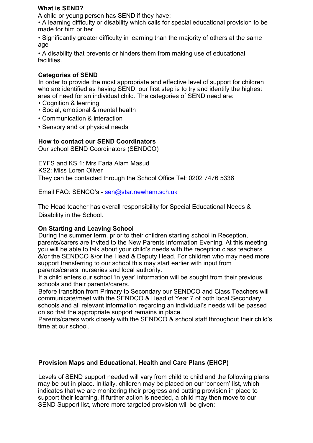### **What is SEND?**

A child or young person has SEND if they have:

• A learning difficulty or disability which calls for special educational provision to be made for him or her

• Significantly greater difficulty in learning than the majority of others at the same age

• A disability that prevents or hinders them from making use of educational facilities.

## **Categories of SEND**

In order to provide the most appropriate and effective level of support for children who are identified as having SEND, our first step is to try and identify the highest area of need for an individual child. The categories of SEND need are:

- Cognition & learning
- Social, emotional & mental health
- Communication & interaction
- Sensory and or physical needs

## **How to contact our SEND Coordinators**

Our school SEND Coordinators (SENDCO)

EYFS and KS 1: Mrs Faria Alam Masud KS2: Miss Loren Oliver They can be contacted through the School Office Tel: 0202 7476 5336

Email FAO: SENCO's - sen@star.newham.sch.uk

The Head teacher has overall responsibility for Special Educational Needs & Disability in the School.

## **On Starting and Leaving School**

During the summer term, prior to their children starting school in Reception, parents/carers are invited to the New Parents Information Evening. At this meeting you will be able to talk about your child's needs with the reception class teachers &/or the SENDCO &/or the Head & Deputy Head. For children who may need more support transferring to our school this may start earlier with input from parents/carers, nurseries and local authority.

If a child enters our school 'in year' information will be sought from their previous schools and their parents/carers.

Before transition from Primary to Secondary our SENDCO and Class Teachers will communicate/meet with the SENDCO & Head of Year 7 of both local Secondary schools and all relevant information regarding an individual's needs will be passed on so that the appropriate support remains in place.

Parents/carers work closely with the SENDCO & school staff throughout their child's time at our school.

## **Provision Maps and Educational, Health and Care Plans (EHCP)**

Levels of SEND support needed will vary from child to child and the following plans may be put in place. Initially, children may be placed on our 'concern' list, which indicates that we are monitoring their progress and putting provision in place to support their learning. If further action is needed, a child may then move to our SEND Support list, where more targeted provision will be given: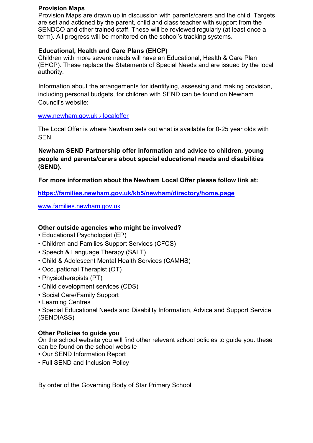#### **Provision Maps**

Provision Maps are drawn up in discussion with parents/carers and the child. Targets are set and actioned by the parent, child and class teacher with support from the SENDCO and other trained staff. These will be reviewed regularly (at least once a term). All progress will be monitored on the school's tracking systems.

### **Educational, Health and Care Plans (EHCP)**

Children with more severe needs will have an Educational, Health & Care Plan (EHCP). These replace the Statements of Special Needs and are issued by the local authority.

Information about the arrangements for identifying, assessing and making provision, including personal budgets, for children with SEND can be found on Newham Council's website:

#### www.newham.gov.uk › localoffer

The Local Offer is where Newham sets out what is available for 0-25 year olds with SEN.

**Newham SEND Partnership offer information and advice to children, young people and parents/carers about special educational needs and disabilities (SEND).** 

**For more information about the Newham Local Offer please follow link at:** 

**https://families.newham.gov.uk/kb5/newham/directory/home.page**

www.families.newham.gov.uk

### **Other outside agencies who might be involved?**

- Educational Psychologist (EP)
- Children and Families Support Services (CFCS)
- Speech & Language Therapy (SALT)
- Child & Adolescent Mental Health Services (CAMHS)
- Occupational Therapist (OT)
- Physiotherapists (PT)
- Child development services (CDS)
- Social Care/Family Support
- Learning Centres

• Special Educational Needs and Disability Information, Advice and Support Service (SENDIASS)

### **Other Policies to guide you**

On the school website you will find other relevant school policies to guide you. these can be found on the school website

- Our SEND Information Report
- Full SEND and Inclusion Policy

By order of the Governing Body of Star Primary School